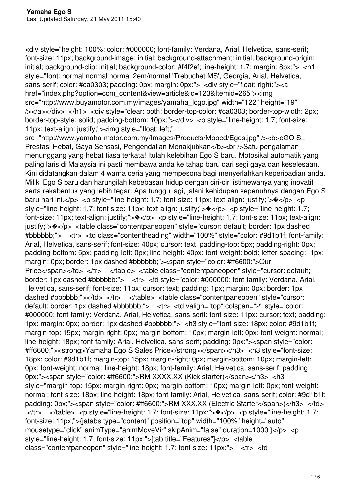<div style="height: 100%; color: #000000; font-family: Verdana, Arial, Helvetica, sans-serif; font-size: 11px; background-image: initial; background-attachment: initial; background-origin: initial; background-clip: initial; background-color: #f4f2ef; line-height: 1.7; margin: 8px;"> <h1 style="font: normal normal normal 2em/normal 'Trebuchet MS', Georgia, Arial, Helvetica, sans-serif; color: #ca0303; padding: 0px; margin: 0px;"> <div style="float: right;"><a href="index.php?option=com\_content&view=article&id=123&Itemid=265"><img src="http://www.buyamotor.com.my/images/yamaha\_logo.jpg" width="122" height="19" /></a></div> </h1> <div style="clear: both; border-top-color: #ca0303; border-top-width: 2px; border-top-style: solid; padding-bottom: 10px;"></div> <p style="line-height: 1.7; font-size: 11px; text-align: justify;"><img style="float: left;"

src="http://www.yamaha-motor.com.my/Images/Products/Moped/Egos.jpg" /><b>eGO S.. Prestasi Hebat, Gaya Sensasi, Pengendalian Menakjubkan</b> <br />Satu pengalaman menunggang yang hebat tiasa terkata! Itulah kelebihan Ego S baru. Motosikal automatik yang paling laris di Malaysia ini pasti membawa anda ke tahap baru dari segi gaya dan keselesaan. Kini didatangkan dalam 4 warna ceria yang mempesona bagi menyerlahkan keperibadian anda. Miliki Ego S baru dan harungilah kebebasan hidup dengan ciri-ciri istimewanya yang inovatif serta rekabentuk yang lebih tegar. Apa tunggu lagi, jalani kehidupan sepenuhnya dengan Ego S baru hari ini. $\langle p \rangle$   $\langle p \rangle$   $\langle p \rangle$  style="line-height: 1.7; font-size: 11px; text-align: justify;"> $\langle p \rangle$   $\langle p \rangle$   $\langle p \rangle$ style="line-height: 1.7; font-size: 11px; text-align: justify;">�</p> <p style="line-height: 1.7; font-size: 11px; text-align: justify;"> $\Diamond$ </p> <p style="line-height: 1.7; font-size: 11px; text-align: justify;">�</p> <table class="contentpaneopen" style="cursor: default; border: 1px dashed #bbbbbb;"> <tr> <td class="contentheading" width="100%" style="color: #9d1b1f; font-family: Arial, Helvetica, sans-serif; font-size: 40px; cursor: text; padding-top: 5px; padding-right: 0px; padding-bottom: 5px; padding-left: 0px; line-height: 40px; font-weight: bold; letter-spacing: -1px; margin: 0px; border: 1px dashed #bbbbbb;"><span style="color: #ff6600;">Our Price</span></td> </tr> </table> <table class="contentpaneopen" style="cursor: default; border: 1px dashed #bbbbbb;"> <tr> <td style="color: #000000; font-family: Verdana, Arial, Helvetica, sans-serif; font-size: 11px; cursor: text; padding: 1px; margin: 0px; border: 1px dashed #bbbbbb;"></td> </tr> </table> <table class="contentpaneopen" style="cursor: default; border: 1px dashed #bbbbbb;"> <tr> <td valign="top" colspan="2" style="color: #000000; font-family: Verdana, Arial, Helvetica, sans-serif; font-size: 11px; cursor: text; padding: 1px; margin: 0px; border: 1px dashed #bbbbbb;"> <h3 style="font-size: 18px; color: #9d1b1f; margin-top: 15px; margin-right: 0px; margin-bottom: 10px; margin-left: 0px; font-weight: normal; line-height: 18px; font-family: Arial, Helvetica, sans-serif; padding: 0px;"><span style="color: #ff6600;"><strong>Yamaha Ego S Sales Price</strong></span></h3> <h3 style="font-size: 18px; color: #9d1b1f; margin-top: 15px; margin-right: 0px; margin-bottom: 10px; margin-left: 0px; font-weight: normal; line-height: 18px; font-family: Arial, Helvetica, sans-serif; padding: 0px;"> < span style="color: #ff6600;">RM XXXX.XX (Kick starter)</span></h3> <h3 style="margin-top: 15px; margin-right: 0px; margin-bottom: 10px; margin-left: 0px; font-weight: normal; font-size: 18px; line-height: 18px; font-family: Arial, Helvetica, sans-serif; color: #9d1b1f; padding: 0px;"><span style="color: #ff6600;">RM XXX.XX (Electric Starter</span>)</h3> </td>  $\langle t \rangle$   $\langle t \rangle$   $\langle t \rangle$   $\langle t \rangle$   $\langle t \rangle$   $\langle t \rangle$   $\langle t \rangle$   $\langle t \rangle$   $\langle t \rangle$   $\langle t \rangle$   $\langle t \rangle$   $\langle t \rangle$   $\langle t \rangle$   $\langle t \rangle$   $\langle t \rangle$   $\langle t \rangle$   $\langle t \rangle$   $\langle t \rangle$   $\langle t \rangle$   $\langle t \rangle$   $\langle t \rangle$   $\langle t \rangle$   $\langle t \rangle$   $\langle t \rangle$   $\langle t \rangle$   $\langle t \rangle$   $\langle t \rangle$   $\langle t \$ font-size: 11px;">{jatabs type="content" position="top" width="100%" height="auto" mousetype="click" animType="animMoveVir" skipAnim="false" duration=1000 }</p> <p style="line-height: 1.7; font-size: 11px;">[tab title="Features"]</p> <table class="contentpaneopen" style="line-height: 1.7; font-size: 11px;"> <tr> <td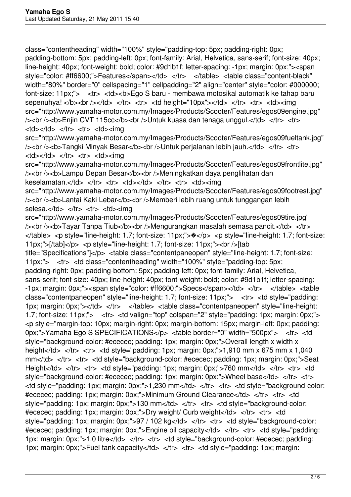class="contentheading" width="100%" style="padding-top: 5px; padding-right: 0px; padding-bottom: 5px; padding-left: 0px; font-family: Arial, Helvetica, sans-serif; font-size: 40px; line-height: 40px; font-weight: bold; color: #9d1b1f; letter-spacing: -1px; margin: 0px;"><span style="color: #ff6600;">Features</span></td> </tr> </table> <table class="content-black" width="80%" border="0" cellspacing="1" cellpadding="2" align="center" style="color: #000000; font-size: 11px;"> <tr> <td><b>Ego S baru - membawa motosikal automatik ke tahap baru sepenuhya! </b>>>>>>> br />></td> </tr> </tr> <tr> <td height="10px"></td> </tr> <tr> <td><td><img src="http://www.yamaha-motor.com.my/Images/Products/Scooter/Features/egos09engine.jpg" />> />> br />>b>Enjin CVT 115cc</b>>br /> Untuk kuasa dan tenaga unggul.</td> </tr> <td></td> </tr> <tr> <td><img

src="http://www.yamaha-motor.com.my/Images/Products/Scooter/Features/egos09fueltank.jpg" />> />> br />>b>Tangki Minyak Besar</b>>br />Untuk perjalanan lebih jauh.</td> </tr> <td></td> </tr> <tr> <td><img

src="http://www.yamaha-motor.com.my/Images/Products/Scooter/Features/egos09frontlite.jpg" /> < br /> <b> Lampu Depan Besar</b> < br />
Neningkatkan daya penglihatan dan keselamatan.</td> </tr> </tr> <td></tr> <td></td></td></tr> <td><img

src="http://www.yamaha-motor.com.my/Images/Products/Scooter/Features/egos09footrest.jpg" /> < br /> <b> Lantai Kaki Lebar < /b> < br />
Nemberi lebih ruang untuk tunggangan lebih selesa.</td> </tr> <tr> <td><img

src="http://www.yamaha-motor.com.my/Images/Products/Scooter/Features/egos09tire.jpg" /> /> <br />> />> Tayar Tanpa Tiub</b> > /b> /> Mengurangkan masalah semasa pancit.</td> </tr> </table> <p style="line-height: 1.7; font-size: 11px;">�</p> <p style="line-height: 1.7; font-size: 11px;">[/tab]</p> <p style="line-height: 1.7; font-size: 11px;"><br />[tab title="Specifications"]</p> <table class="contentpaneopen" style="line-height: 1.7; font-size: 11px;"> <tr> <td class="contentheading" width="100%" style="padding-top: 5px; padding-right: 0px; padding-bottom: 5px; padding-left: 0px; font-family: Arial, Helvetica, sans-serif; font-size: 40px; line-height: 40px; font-weight: bold; color: #9d1b1f; letter-spacing: -1px; margin: 0px;"><span style="color: #ff6600;">Specs</span></td> </tr> </table> <table class="contentpaneopen" style="line-height: 1.7; font-size: 11px;"> <tr> <td style="padding: 1px; margin: 0px;"></td> </tr> </table> <table class="contentpaneopen" style="line-height: 1.7; font-size: 11px;"> <tr> <td valign="top" colspan="2" style="padding: 1px; margin: 0px;"> <p style="margin-top: 10px; margin-right: 0px; margin-bottom: 15px; margin-left: 0px; padding: 0px;">Yamaha Ego S SPECIFICATIONS</p> <table border="0" width="500px"> <tr> <td style="background-color: #ececec; padding: 1px; margin: 0px;">Overall length x width x height</td> </tr> <tr> <td style="padding: 1px; margin: 0px;">1,910 mm x 675 mm x 1,040 mm</td> </tr> <tr> <td style="background-color: #ececec; padding: 1px; margin: 0px;">Seat Height</td> </tr> <tr> <td style="padding: 1px; margin: 0px;">760 mm</td> </tr> <tr> <td style="background-color: #ececec; padding: 1px; margin: 0px;">Wheel base</td> </tr> <tr> <td style="padding: 1px; margin: 0px;">1,230 mm</td> </tr> <tr> <td style="background-color: #ececec; padding: 1px; margin: 0px;">Minimum Ground Clearance</td> </tr> <tr> <td style="padding: 1px; margin: 0px;">130 mm</td> </tr> <tr> <td style="background-color: #ececec; padding: 1px; margin: 0px;">Dry weight/ Curb weight</td> </tr> <tr> <td style="padding: 1px; margin: 0px;">97 / 102 kg</td> </tr> <tr> <td style="background-color: #ececec; padding: 1px; margin: 0px;">Engine oil capacity</td> </tr> <tr> <td style="padding; 1px; margin: 0px;">1.0 litre</td> </tr> <tr> <td style="background-color: #ececec; padding: 1px; margin: 0px;">Fuel tank capacity</td> </tr> <tr> <td style="padding: 1px; margin: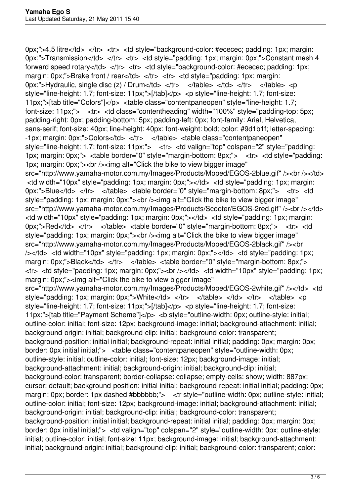0px;">4.5 litre</td> </tr> <tr> <td style="background-color: #ececec; padding: 1px; margin: 0px;">Transmission</td> </tr> <tr> <td style="padding: 1px; margin: 0px;">Constant mesh 4 forward speed rotary</td> </tr> <tr> <td style="background-color: #ececec; padding: 1px; margin: 0px;">Brake front / rear</td> </tr> <tr> <td style="padding: 1px; margin: 0px;">Hydraulic, single disc (z) / Drum</td> </tr> </table> </td> </tr> </table> <p style="line-height: 1.7; font-size: 11px;">[/tab]</p> <p style="line-height: 1.7; font-size: 11px;">[tab title="Colors"]</p> <table class="contentpaneopen" style="line-height: 1.7; font-size: 11px;"> <tr> <td class="contentheading" width="100%" style="padding-top: 5px; padding-right: 0px; padding-bottom: 5px; padding-left: 0px; font-family: Arial, Helvetica, sans-serif; font-size: 40px; line-height: 40px; font-weight: bold; color: #9d1b1f; letter-spacing: -1px; margin: 0px;">Colors</td> </tr> </table> <table class="contentpaneopen" style="line-height: 1.7; font-size: 11px;"> <tr> <td valign="top" colspan="2" style="padding: 1px; margin: 0px;"> <table border="0" style="margin-bottom: 8px;"> <tr> <td style="padding: 1px; margin: 0px;"><br /><img alt="Click the bike to view bigger image" src="http://www.yamaha-motor.com.my/Images/Products/Moped/EGOS-2blue.gif" /><br />>/td> <td width="10px" style="padding: 1px; margin: 0px;"></td> <td style="padding: 1px; margin: 0px;">Blue</td> </tr> </table> <table border="0" style="margin-bottom: 8px;"> <tr> <td style="padding: 1px; margin: 0px;"><br />>/>><img alt="Click the bike to view bigger image" src="http://www.yamaha-motor.com.my/Images/Products/Scooter/EGOS-2red.gif" /><br />>/td> <td width="10px" style="padding: 1px; margin: 0px;"></td> <td style="padding: 1px; margin: 0px;">Red</td> </tr> </table> <table border="0" style="margin-bottom: 8px;"> <tr> <td style="padding: 1px; margin: 0px;"><br />>/>><img alt="Click the bike to view bigger image" src="http://www.yamaha-motor.com.my/Images/Products/Moped/EGOS-2black.gif" /><br /></td> <td width="10px" style="padding: 1px; margin: 0px;"></td> <td style="padding: 1px; margin: 0px;">Black</td> </tr> </table> <table border="0" style="margin-bottom: 8px;"> <tr> <td style="padding: 1px; margin: 0px;"><br /></td> <td width="10px" style="padding: 1px; margin: 0px;"> img alt="Click the bike to view bigger image" src="http://www.yamaha-motor.com.my/Images/Products/Moped/EGOS-2white.gif" /></td> <td style="padding: 1px; margin: 0px;">White</td> </tr> </table> </td> </td> </tr> </table> <p style="line-height: 1.7; font-size: 11px;">[/tab]</p> <p style="line-height: 1.7; font-size: 11px;">[tab title="Payment Scheme"]</p> <b style="outline-width: 0px; outline-style: initial; outline-color: initial; font-size: 12px; background-image: initial; background-attachment: initial; background-origin: initial; background-clip: initial; background-color: transparent; background-position: initial initial; background-repeat: initial initial; padding: 0px; margin: 0px; border: 0px initial initial;"> <table class="contentpaneopen" style="outline-width: 0px; outline-style: initial; outline-color: initial; font-size: 12px; background-image: initial; background-attachment: initial; background-origin: initial; background-clip: initial; background-color: transparent; border-collapse: collapse; empty-cells: show; width: 887px; cursor: default; background-position: initial initial; background-repeat: initial initial; padding: 0px; margin: 0px; border: 1px dashed #bbbbbb;"> <tr style="outline-width: 0px; outline-style: initial; outline-color: initial; font-size: 12px; background-image: initial; background-attachment: initial; background-origin: initial; background-clip: initial; background-color: transparent; background-position: initial initial; background-repeat: initial initial; padding: 0px; margin: 0px; border: 0px initial initial;"> <td valign="top" colspan="2" style="outline-width: 0px; outline-style: initial; outline-color: initial; font-size: 11px; background-image: initial; background-attachment; initial; background-origin: initial; background-clip: initial; background-color: transparent; color: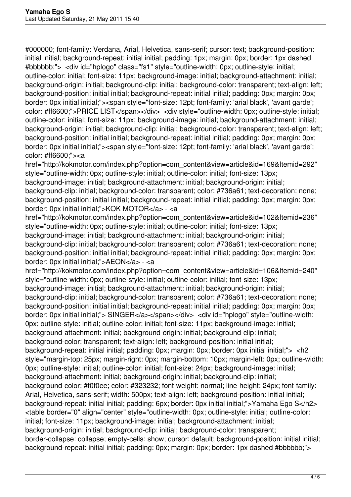#000000; font-family: Verdana, Arial, Helvetica, sans-serif; cursor: text; background-position: initial initial; background-repeat: initial initial; padding: 1px; margin: 0px; border: 1px dashed #bbbbbb;"> <div id="hplogo" class="fs1" style="outline-width: 0px; outline-style: initial; outline-color: initial; font-size: 11px; background-image: initial; background-attachment: initial; background-origin: initial; background-clip: initial; background-color: transparent; text-align: left; background-position: initial initial; background-repeat: initial initial; padding: 0px; margin: 0px; border: 0px initial initial;"><span style="font-size: 12pt; font-family: 'arial black', 'avant garde'; color: #ff6600;">PRICE LIST</span></div> <div style="outline-width: 0px; outline-style: initial; outline-color: initial; font-size: 11px; background-image: initial; background-attachment: initial; background-origin: initial; background-clip: initial; background-color: transparent; text-align: left; background-position: initial initial; background-repeat: initial initial; padding: 0px; margin: 0px; border: 0px initial initial;"><span style="font-size: 12pt; font-family: 'arial black', 'avant garde'; color: #ff6600;"><a

href="http://kokmotor.com/index.php?option=com\_content&view=article&id=169&Itemid=292" style="outline-width: 0px; outline-style: initial; outline-color: initial; font-size: 13px; background-image: initial; background-attachment: initial; background-origin: initial; background-clip: initial; background-color: transparent; color: #736a61; text-decoration: none; background-position: initial initial; background-repeat: initial initial; padding: 0px; margin: 0px; border: 0px initial initial;">KOK MOTOR</a> - <a

href="http://kokmotor.com/index.php?option=com\_content&view=article&id=102&Itemid=236" style="outline-width: 0px; outline-style: initial; outline-color: initial; font-size: 13px; background-image: initial; background-attachment: initial; background-origin: initial; background-clip: initial; background-color: transparent; color: #736a61; text-decoration: none; background-position: initial initial; background-repeat: initial initial; padding: 0px; margin: 0px; border: 0px initial initial;">AEON</a> - <a

href="http://kokmotor.com/index.php?option=com\_content&view=article&id=106&Itemid=240" style="outline-width: 0px; outline-style: initial; outline-color: initial; font-size: 13px; background-image: initial; background-attachment: initial; background-origin: initial; background-clip: initial; background-color: transparent; color: #736a61; text-decoration: none; background-position: initial initial; background-repeat: initial initial; padding: 0px; margin: 0px; border: 0px initial initial;"> SINGER</a></span></div> <div id="hplogo" style="outline-width: 0px; outline-style: initial; outline-color: initial; font-size: 11px; background-image: initial; background-attachment: initial; background-origin: initial; background-clip: initial; background-color: transparent; text-align: left; background-position: initial initial; background-repeat: initial initial; padding: 0px; margin: 0px; border: 0px initial initial;"> <h2 style="margin-top: 25px; margin-right: 0px; margin-bottom: 10px; margin-left: 0px; outline-width: 0px; outline-style: initial; outline-color: initial; font-size: 24px; background-image: initial; background-attachment: initial; background-origin: initial; background-clip: initial; background-color: #f0f0ee; color: #323232; font-weight: normal; line-height: 24px; font-family: Arial, Helvetica, sans-serif; width: 500px; text-align: left; background-position: initial initial; background-repeat: initial initial; padding: 6px; border: 0px initial initial;">Yamaha Ego S</h2> <table border="0" align="center" style="outline-width: 0px; outline-style: initial; outline-color: initial; font-size: 11px; background-image: initial; background-attachment: initial; background-origin: initial; background-clip: initial; background-color: transparent; border-collapse: collapse; empty-cells: show; cursor: default; background-position: initial initial; background-repeat: initial initial; padding: 0px; margin: 0px; border: 1px dashed #bbbbbb;">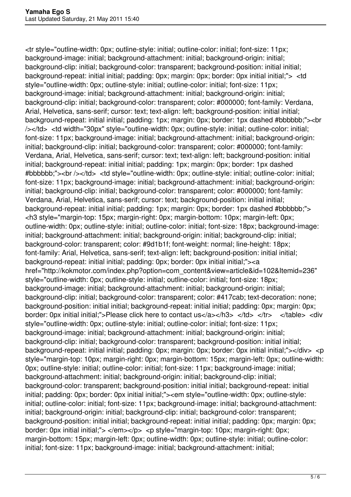<tr style="outline-width: 0px; outline-style: initial; outline-color: initial; font-size: 11px; background-image: initial; background-attachment: initial; background-origin: initial; background-clip: initial; background-color: transparent; background-position: initial initial; background-repeat: initial initial; padding: 0px; margin: 0px; border: 0px initial initial;"> <td style="outline-width: 0px; outline-style: initial; outline-color: initial; font-size: 11px; background-image: initial; background-attachment: initial; background-origin: initial; background-clip: initial; background-color: transparent; color: #000000; font-family: Verdana, Arial, Helvetica, sans-serif; cursor: text; text-align: left; background-position: initial initial; background-repeat: initial initial; padding: 1px; margin: 0px; border: 1px dashed #bbbbbb;"><br /></td> <td width="30px" style="outline-width: 0px; outline-style: initial; outline-color: initial; font-size: 11px; background-image: initial; background-attachment: initial; background-origin: initial; background-clip: initial; background-color: transparent; color: #000000; font-family: Verdana, Arial, Helvetica, sans-serif; cursor: text; text-align: left; background-position: initial initial; background-repeat: initial initial; padding: 1px; margin: 0px; border: 1px dashed #bbbbbb;"><br /></td> <td style="outline-width: 0px; outline-style: initial; outline-color: initial; font-size: 11px; background-image: initial; background-attachment: initial; background-origin: initial; background-clip: initial; background-color: transparent; color: #000000; font-family: Verdana, Arial, Helvetica, sans-serif; cursor: text; background-position: initial initial; background-repeat: initial initial; padding: 1px; margin: 0px; border: 1px dashed #bbbbbb;"> <h3 style="margin-top: 15px; margin-right: 0px; margin-bottom: 10px; margin-left: 0px; outline-width: 0px; outline-style: initial; outline-color: initial; font-size: 18px; background-image: initial; background-attachment: initial; background-origin: initial; background-clip: initial; background-color: transparent; color: #9d1b1f; font-weight: normal; line-height: 18px; font-family: Arial, Helvetica, sans-serif; text-align: left; background-position: initial initial; background-repeat: initial initial; padding: 0px; border: 0px initial initial;"><a href="http://kokmotor.com/index.php?option=com\_content&view=article&id=102&Itemid=236" style="outline-width: 0px; outline-style: initial; outline-color: initial; font-size: 18px; background-image: initial; background-attachment: initial; background-origin: initial; background-clip: initial; background-color: transparent; color: #417cab; text-decoration: none; background-position: initial initial; background-repeat: initial initial; padding: 0px; margin: 0px; border: 0px initial initial;">Please click here to contact us</a></h3> </td> </tr> </table> <div style="outline-width: 0px; outline-style: initial; outline-color: initial; font-size: 11px; background-image: initial; background-attachment: initial; background-origin: initial; background-clip: initial; background-color: transparent; background-position: initial initial; background-repeat: initial initial; padding: 0px; margin: 0px; border: 0px initial initial;"></div> <p style="margin-top: 10px; margin-right: 0px; margin-bottom: 15px; margin-left: 0px; outline-width: 0px; outline-style: initial; outline-color: initial; font-size: 11px; background-image: initial; background-attachment: initial; background-origin: initial; background-clip: initial; background-color: transparent; background-position: initial initial; background-repeat: initial initial; padding: 0px; border: 0px initial initial;"><em style="outline-width: 0px; outline-style: initial; outline-color: initial; font-size: 11px; background-image: initial; background-attachment: initial; background-origin: initial; background-clip: initial; background-color; transparent; background-position: initial initial; background-repeat: initial initial; padding: 0px; margin: 0px; border: 0px initial initial;"> </em></p> <p style="margin-top: 10px; margin-right: 0px; margin-bottom: 15px; margin-left: 0px; outline-width: 0px; outline-style: initial; outline-color: initial; font-size: 11px; background-image: initial; background-attachment: initial;